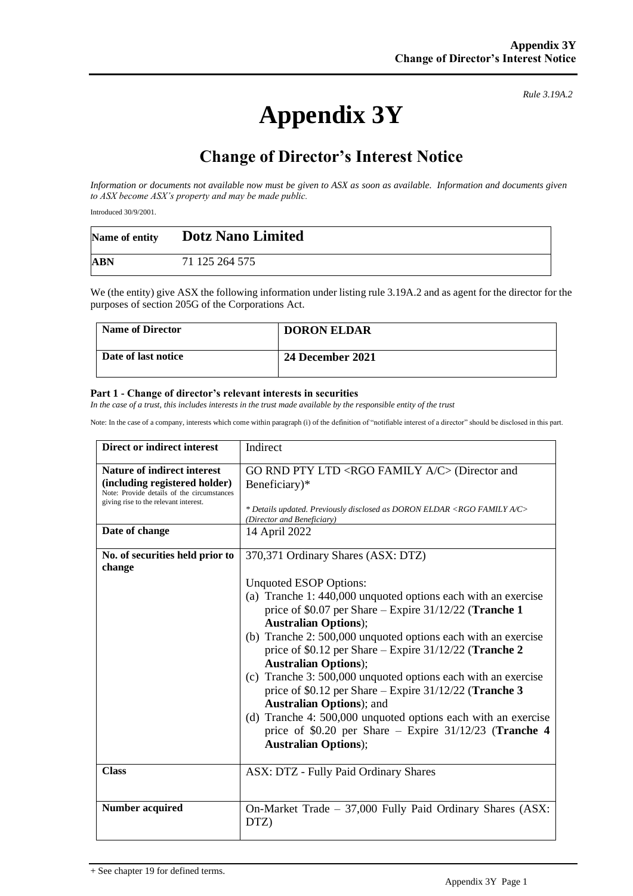# **Appendix 3Y**

*Rule 3.19A.2*

## **Change of Director's Interest Notice**

*Information or documents not available now must be given to ASX as soon as available. Information and documents given to ASX become ASX's property and may be made public.*

Introduced 30/9/2001.

| Name of entity | <b>Dotz Nano Limited</b> |
|----------------|--------------------------|
| ABN            | 71 125 264 575           |

We (the entity) give ASX the following information under listing rule 3.19A.2 and as agent for the director for the purposes of section 205G of the Corporations Act.

| <b>Name of Director</b> | <b>DORON ELDAR</b> |
|-------------------------|--------------------|
| Date of last notice     | 24 December 2021   |

#### **Part 1 - Change of director's relevant interests in securities**

*In the case of a trust, this includes interests in the trust made available by the responsible entity of the trust*

Note: In the case of a company, interests which come within paragraph (i) of the definition of "notifiable interest of a director" should be disclosed in this part.

| Direct or indirect interest                                                                                                                                                  | Indirect                                                                                                                                                                                                                                                                                                                                                                                                                                                                                                                                                                                                                                                                                                         |
|------------------------------------------------------------------------------------------------------------------------------------------------------------------------------|------------------------------------------------------------------------------------------------------------------------------------------------------------------------------------------------------------------------------------------------------------------------------------------------------------------------------------------------------------------------------------------------------------------------------------------------------------------------------------------------------------------------------------------------------------------------------------------------------------------------------------------------------------------------------------------------------------------|
| <b>Nature of indirect interest</b><br>(including registered holder)<br>Note: Provide details of the circumstances<br>giving rise to the relevant interest.<br>Date of change | GO RND PTY LTD <rgo a="" c="" family=""> (Director and<br/>Beneficiary)*<br/>* Details updated. Previously disclosed as DORON ELDAR <rgo a="" c="" family=""><br/>(Director and Beneficiary)</rgo></rgo>                                                                                                                                                                                                                                                                                                                                                                                                                                                                                                         |
|                                                                                                                                                                              | 14 April 2022                                                                                                                                                                                                                                                                                                                                                                                                                                                                                                                                                                                                                                                                                                    |
| No. of securities held prior to<br>change                                                                                                                                    | 370,371 Ordinary Shares (ASX: DTZ)<br>Unquoted ESOP Options:<br>(a) Tranche 1: 440,000 unquoted options each with an exercise<br>price of \$0.07 per Share - Expire 31/12/22 (Tranche 1<br><b>Australian Options</b> );<br>(b) Tranche 2: 500,000 unquoted options each with an exercise<br>price of \$0.12 per Share - Expire 31/12/22 (Tranche 2<br><b>Australian Options</b> );<br>(c) Tranche 3: 500,000 unquoted options each with an exercise<br>price of \$0.12 per Share $-$ Expire 31/12/22 (Tranche 3<br><b>Australian Options</b> ); and<br>(d) Tranche 4: 500,000 unquoted options each with an exercise<br>price of \$0.20 per Share – Expire $31/12/23$ (Tranche 4<br><b>Australian Options</b> ); |
| <b>Class</b>                                                                                                                                                                 | ASX: DTZ - Fully Paid Ordinary Shares                                                                                                                                                                                                                                                                                                                                                                                                                                                                                                                                                                                                                                                                            |
| <b>Number acquired</b>                                                                                                                                                       | On-Market Trade - 37,000 Fully Paid Ordinary Shares (ASX:<br>DTZ)                                                                                                                                                                                                                                                                                                                                                                                                                                                                                                                                                                                                                                                |

<sup>+</sup> See chapter 19 for defined terms.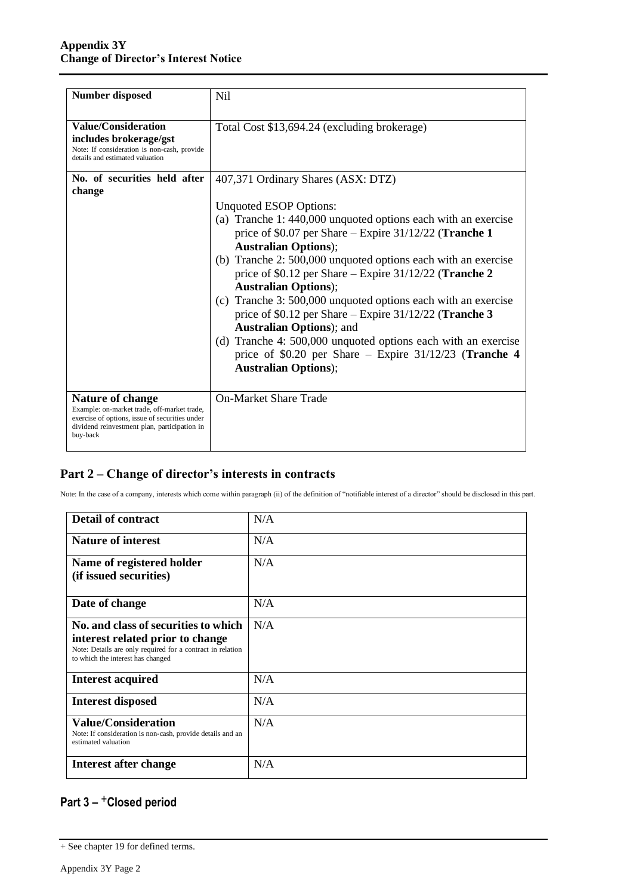| <b>Number disposed</b>                                                                                                                                                               | N <sub>il</sub>                                                                                                                                                                                                                                                                                                                                                                                                                                                                                                                                                                                                                                                                                                      |
|--------------------------------------------------------------------------------------------------------------------------------------------------------------------------------------|----------------------------------------------------------------------------------------------------------------------------------------------------------------------------------------------------------------------------------------------------------------------------------------------------------------------------------------------------------------------------------------------------------------------------------------------------------------------------------------------------------------------------------------------------------------------------------------------------------------------------------------------------------------------------------------------------------------------|
| Value/Consideration<br>includes brokerage/gst<br>Note: If consideration is non-cash, provide<br>details and estimated valuation                                                      | Total Cost \$13,694.24 (excluding brokerage)                                                                                                                                                                                                                                                                                                                                                                                                                                                                                                                                                                                                                                                                         |
| No. of securities held after<br>change                                                                                                                                               | 407,371 Ordinary Shares (ASX: DTZ)<br>Unquoted ESOP Options:<br>(a) Tranche 1: 440,000 unquoted options each with an exercise<br>price of \$0.07 per Share – Expire $31/12/22$ (Tranche 1<br><b>Australian Options</b> );<br>(b) Tranche 2: 500,000 unquoted options each with an exercise<br>price of \$0.12 per Share – Expire $31/12/22$ (Tranche 2<br><b>Australian Options</b> );<br>(c) Tranche 3: 500,000 unquoted options each with an exercise<br>price of \$0.12 per Share – Expire $31/12/22$ (Tranche 3<br><b>Australian Options</b> ); and<br>(d) Tranche 4: 500,000 unquoted options each with an exercise<br>price of \$0.20 per Share – Expire $31/12/23$ (Tranche 4<br><b>Australian Options</b> ); |
| <b>Nature of change</b><br>Example: on-market trade, off-market trade,<br>exercise of options, issue of securities under<br>dividend reinvestment plan, participation in<br>buy-back | <b>On-Market Share Trade</b>                                                                                                                                                                                                                                                                                                                                                                                                                                                                                                                                                                                                                                                                                         |

### **Part 2 – Change of director's interests in contracts**

Note: In the case of a company, interests which come within paragraph (ii) of the definition of "notifiable interest of a director" should be disclosed in this part.

| <b>Detail of contract</b>                                                                                                                                                          | N/A |
|------------------------------------------------------------------------------------------------------------------------------------------------------------------------------------|-----|
| <b>Nature of interest</b>                                                                                                                                                          | N/A |
| Name of registered holder<br>(if issued securities)                                                                                                                                | N/A |
| Date of change                                                                                                                                                                     | N/A |
| <b>No. and class of securities to which</b><br>interest related prior to change<br>Note: Details are only required for a contract in relation<br>to which the interest has changed | N/A |
| <b>Interest acquired</b>                                                                                                                                                           | N/A |
| <b>Interest disposed</b>                                                                                                                                                           | N/A |
| <b>Value/Consideration</b><br>Note: If consideration is non-cash, provide details and an<br>estimated valuation                                                                    | N/A |
| Interest after change                                                                                                                                                              | N/A |

## **Part 3 –** +**Closed period**

<sup>+</sup> See chapter 19 for defined terms.